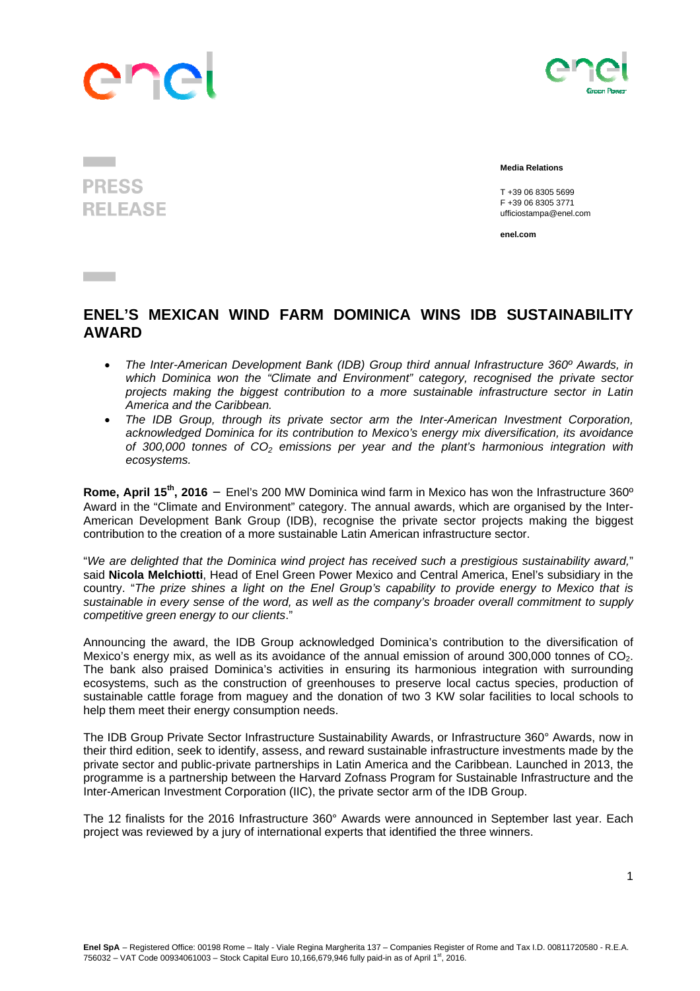



 **Media Relations** 

 T +39 06 8305 5699 F +39 06 8305 3771 ufficiostampa@enel.com

**enel.com**

## **ENEL'S MEXICAN WIND FARM DOMINICA WINS IDB SUSTAINABILITY AWARD**

- *The Inter-American Development Bank (IDB) Group third annual Infrastructure 360º Awards, in which Dominica won the "Climate and Environment" category, recognised the private sector projects making the biggest contribution to a more sustainable infrastructure sector in Latin America and the Caribbean.*
- *The IDB Group, through its private sector arm the Inter-American Investment Corporation, acknowledged Dominica for its contribution to Mexico's energy mix diversification, its avoidance of 300,000 tonnes of CO2 emissions per year and the plant's harmonious integration with ecosystems.*

**Rome, April 15th, 2016** – Enel's 200 MW Dominica wind farm in Mexico has won the Infrastructure 360º Award in the "Climate and Environment" category. The annual awards, which are organised by the Inter-American Development Bank Group (IDB), recognise the private sector projects making the biggest contribution to the creation of a more sustainable Latin American infrastructure sector.

"*We are delighted that the Dominica wind project has received such a prestigious sustainability award,*" said **Nicola Melchiotti**, Head of Enel Green Power Mexico and Central America, Enel's subsidiary in the country. "*The prize shines a light on the Enel Group's capability to provide energy to Mexico that is sustainable in every sense of the word, as well as the company's broader overall commitment to supply competitive green energy to our clients*."

Announcing the award, the IDB Group acknowledged Dominica's contribution to the diversification of Mexico's energy mix, as well as its avoidance of the annual emission of around 300,000 tonnes of  $CO<sub>2</sub>$ . The bank also praised Dominica's activities in ensuring its harmonious integration with surrounding ecosystems, such as the construction of greenhouses to preserve local cactus species, production of sustainable cattle forage from maguey and the donation of two 3 KW solar facilities to local schools to help them meet their energy consumption needs.

The IDB Group Private Sector Infrastructure Sustainability Awards, or Infrastructure 360° Awards, now in their third edition, seek to identify, assess, and reward sustainable infrastructure investments made by the private sector and public-private partnerships in Latin America and the Caribbean. Launched in 2013, the programme is a partnership between the Harvard Zofnass Program for Sustainable Infrastructure and the Inter-American Investment Corporation (IIC), the private sector arm of the IDB Group.

The 12 finalists for the 2016 Infrastructure 360° Awards were announced in September last year. Each project was reviewed by a jury of international experts that identified the three winners.

**PRESS RELEASE** 

**Contract Contract**